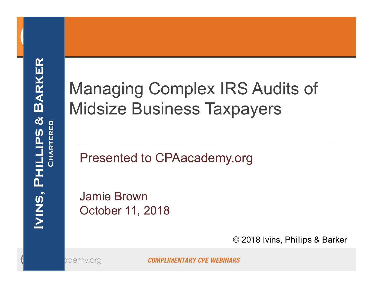### Managing Complex IRS Audits of Midsize Business Taxpayers

Presented to CPAacademy.org

Jamie BrownOctober 11, 2018

© 2018 Ivins, Phillips & Barker

ademy.org

**COMPLIMENTARY CPE WEBINARS**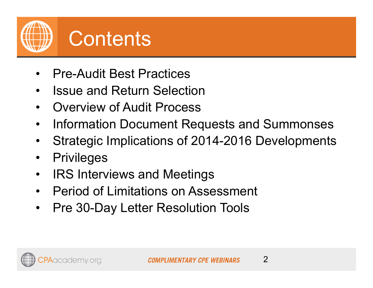

- •Pre-Audit Best Practices
- $\bullet$ Issue and Return Selection
- $\bullet$ Overview of Audit Process
- $\bullet$ Information Document Requests and Summonses
- $\bullet$ Strategic Implications of 2014-2016 Developments
- $\bullet$ **Privileges**
- $\bullet$ IRS Interviews and Meetings
- Period of Limitations on Assessment
- $\bullet$ Pre 30-Day Letter Resolution Tools

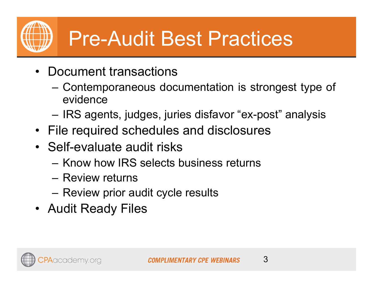## Pre-Audit Best Practices

- Document transactions
	- Contemporaneous documentation is strongest type of evidence
	- IRS agents, judges, juries disfavor "ex-post" analysis
- File required schedules and disclosures
- Self-evaluate audit risks
	- Know how IRS selects business returns
	- Review returns
	- Review prior audit cycle results
- Audit Ready Files

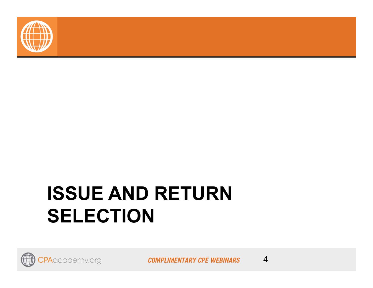

### **ISSUE AND RETURN SELECTION**

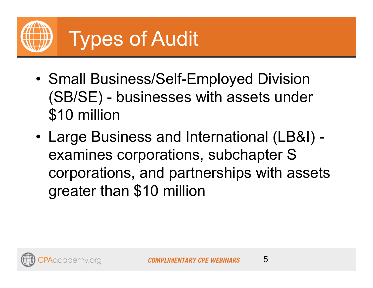

- • Small Business/Self-Employed Division (SB/SE) - businesses with assets under \$10 million
- • Large Business and International (LB&I) examines corporations, subchapter S corporations, and partnerships with assets greater than \$10 million

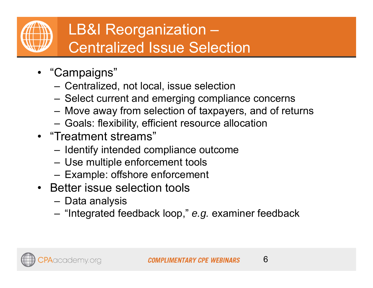

#### LB&I Reorganization – Centralized Issue Selection

- "Campaigns"
	- Centralized, not local, issue selection
	- Select current and emerging compliance concerns
	- –Move away from selection of taxpayers, and of returns
	- Goals: flexibility, efficient resource allocation
- "Treatment streams"
	- Identify intended compliance outcome
	- Use multiple enforcement tools
	- Example: offshore enforcement
- Better issue selection tools
	- –Data analysis
	- "Integrated feedback loop," *e.g.* examiner feedback

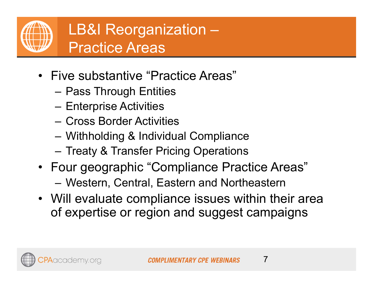

- Five substantive "Practice Areas"
	- Pass Through Entities
	- Enterprise Activities
	- Cross Border Activities
	- Withholding & Individual Compliance
	- Treaty & Transfer Pricing Operations
- Four geographic "Compliance Practice Areas" Western, Central, Eastern and Northeastern
- Will evaluate compliance issues within their area of expertise or region and suggest campaigns

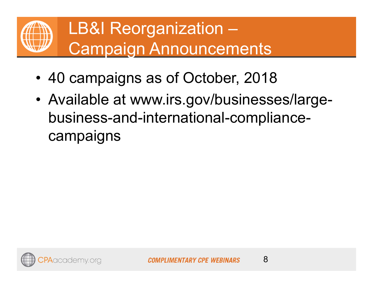

- •40 campaigns as of October, 2018
- • Available at www.irs.gov/businesses/largebusiness-and-international-compliancecampaigns

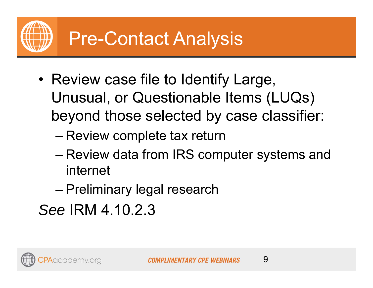- • Review case file to Identify Large, Unusual, or Questionable Items (LUQs) beyond those selected by case classifier:
	- –Review complete tax return
	- – Review data from IRS computer systems and internet
	- –Preliminary legal research
- *See* IRM 4.10.2.3

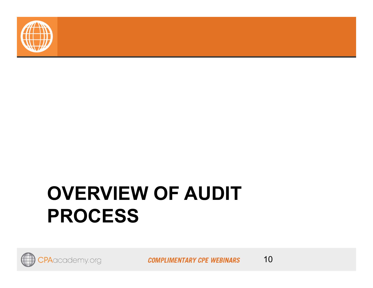

### **OVERVIEW OF AUDIT PROCESS**



**COMPLIMENTARY CPE WEBINARS**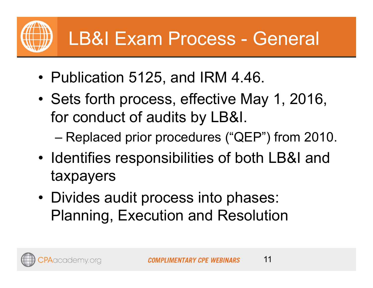### LB&I Exam Process - General

- Publication 5125, and IRM 4.46.
- • Sets forth process, effective May 1, 2016, for conduct of audits by LB&I.
	- –Replaced prior procedures ("QEP") from 2010.
- • Identifies responsibilities of both LB&I and taxpayers
- Divides audit process into phases: Planning, Execution and Resolution

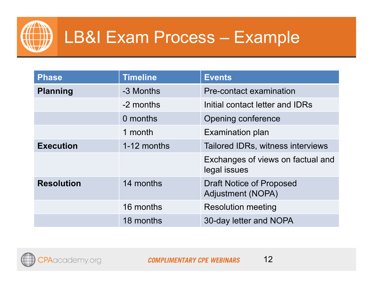

### LB&I Exam Process – Example

| <b>Phase</b>      | <b>Timeline</b> | <b>Events</b>                                        |
|-------------------|-----------------|------------------------------------------------------|
| <b>Planning</b>   | -3 Months       | Pre-contact examination                              |
|                   | -2 months       | Initial contact letter and IDRs                      |
|                   | 0 months        | Opening conference                                   |
|                   | 1 month         | <b>Examination plan</b>                              |
| <b>Execution</b>  | 1-12 months     | Tailored IDRs, witness interviews                    |
|                   |                 | Exchanges of views on factual and<br>legal issues    |
| <b>Resolution</b> | 14 months       | <b>Draft Notice of Proposed</b><br>Adjustment (NOPA) |
|                   | 16 months       | <b>Resolution meeting</b>                            |
|                   | 18 months       | 30-day letter and NOPA                               |

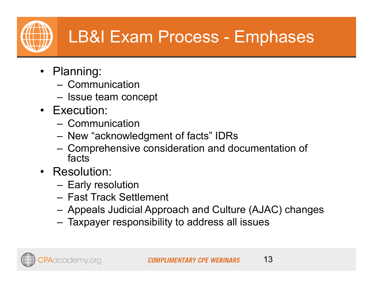### LB&I Exam Process - Emphases

- Planning:
	- Communication
	- Issue team concept
- Execution:
	- Communication
	- New "acknowledgment of facts" IDRs
	- Comprehensive consideration and documentation of facts
- Resolution:
	- Early resolution
	- Fast Track Settlement
	- Appeals Judicial Approach and Culture (AJAC) changes
	- Taxpayer responsibility to address all issues

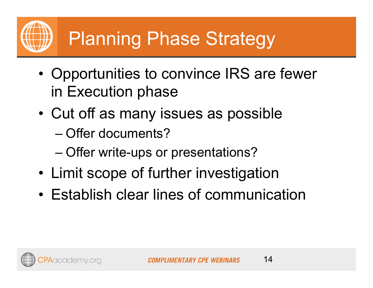- • Opportunities to convince IRS are fewer in Execution phase
- • Cut off as many issues as possible
	- Offer documents?
	- –Offer write-ups or presentations?
- •Limit scope of further investigation
- •Establish clear lines of communication

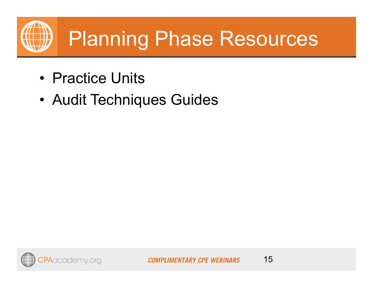

- Practice Units
- •Audit Techniques Guides

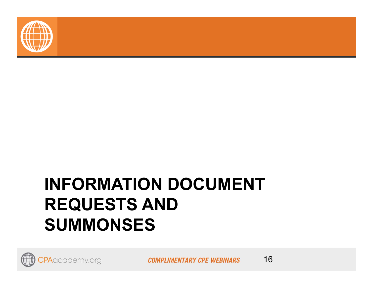

### **INFORMATION DOCUMENT REQUESTS AND SUMMONSES**

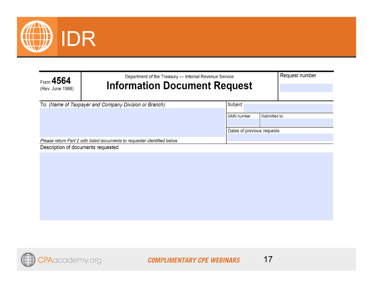

| Form $4564$<br>(Rev. June 1988)                                                                                | Department of the Treasury - Internal Revenue Service<br><b>Information Document Request</b> |                            | Request number |  |
|----------------------------------------------------------------------------------------------------------------|----------------------------------------------------------------------------------------------|----------------------------|----------------|--|
|                                                                                                                | To: (Name of Taxpayer and Company Division or Branch)                                        | Subject                    |                |  |
|                                                                                                                |                                                                                              | <b>SAIN</b> number         | Submitted to:  |  |
|                                                                                                                |                                                                                              | Dates of previous requests |                |  |
| Please return Part 2 with listed documents to requester identified below<br>Description of documents requested |                                                                                              |                            |                |  |

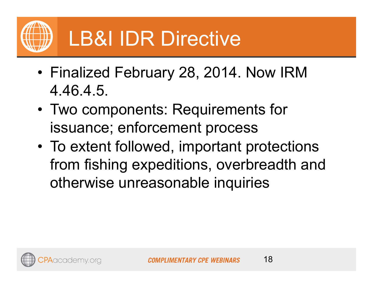

## LB&I IDR Directive

- Finalized February 28, 2014. Now IRM 4.46.4.5.
- • Two components: Requirements for issuance; enforcement process
- • To extent followed, important protections from fishing expeditions, overbreadth and otherwise unreasonable inquiries

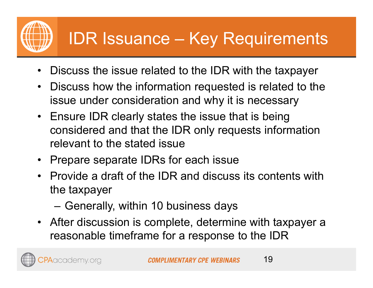### IDR Issuance – Key Requirements

- •Discuss the issue related to the IDR with the taxpayer
- $\bullet$  Discuss how the information requested is related to the issue under consideration and why it is necessary
- Ensure IDR clearly states the issue that is being considered and that the IDR only requests information relevant to the stated issue
- Prepare separate IDRs for each issue
- Provide a draft of the IDR and discuss its contents with the taxpayer
	- Generally, within 10 business days

Aacademy.org

• After discussion is complete, determine with taxpayer a reasonable timeframe for a response to the IDR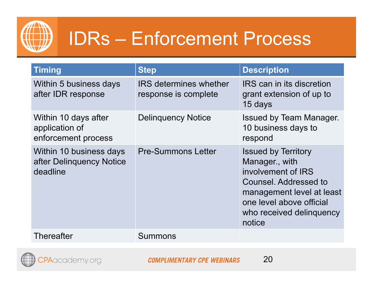

### IDRs – Enforcement Process

| <b>Timing</b>                                                   | <b>Step</b>                                           | <b>Description</b>                                                                                                                                                                         |
|-----------------------------------------------------------------|-------------------------------------------------------|--------------------------------------------------------------------------------------------------------------------------------------------------------------------------------------------|
| Within 5 business days<br>after IDR response                    | <b>IRS</b> determines whether<br>response is complete | <b>IRS</b> can in its discretion<br>grant extension of up to<br>15 days                                                                                                                    |
| Within 10 days after<br>application of<br>enforcement process   | <b>Delinquency Notice</b>                             | <b>Issued by Team Manager.</b><br>10 business days to<br>respond                                                                                                                           |
| Within 10 business days<br>after Delinquency Notice<br>deadline | <b>Pre-Summons Letter</b>                             | <b>Issued by Territory</b><br>Manager., with<br>involvement of IRS<br>Counsel. Addressed to<br>management level at least<br>one level above official<br>who received delinquency<br>notice |
| <b>Thereafter</b>                                               | <b>Summons</b>                                        |                                                                                                                                                                                            |

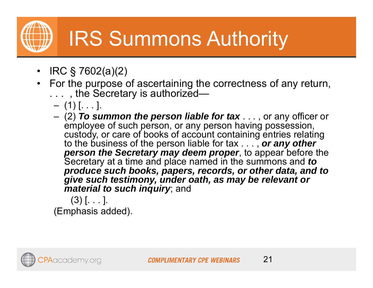## IRS Summons Authority

- •IRC § 7602(a)(2)
- $\bullet$  For the purpose of ascertaining the correctness of any return, . . . , the Secretary is authorized—
	- $(1)$   $[ \dots ]$ .
	- (2) *To summon the person liable for tax* . . . , or any officer or employee of such person, or any person having possession, custody, or care of books of account containing entries relating to the business of the person liable for tax . . . , *or any other person the Secretary may deem proper*, to appear before the Secretary at a time and place named in the summons and *to produce such books, papers, records, or other data, and to give such testimony, under oath, as may be relevant or material to such inquiry*; and

 $(3)$   $[ \dots ]$ . (Emphasis added).

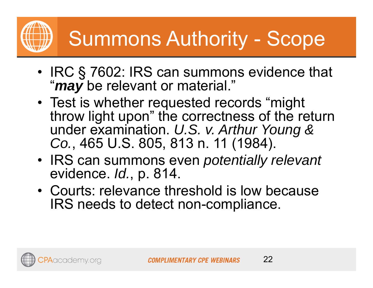## Summons Authority - Scope

- IRC § 7602: IRS can summons evidence that "*may* be relevant or material."
- Test is whether requested records "might throw light upon" the correctness of the return under examination. *U.S. v. Arthur Young & Co.*, 465 U.S. 805, 813 n. 11 (1984).
- IRS can summons even *potentially relevant* evidence. *Id.*, p. 814.
- Courts: relevance threshold is low because IRS needs to detect non-compliance.

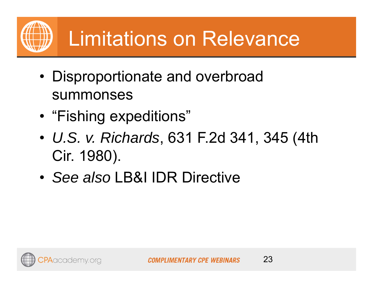- Disproportionate and overbroad summonses
- •"Fishing expeditions"
- • *U.S. v. Richards*, 631 F.2d 341, 345 (4th Cir. 1980).
- •*See also* LB&I IDR Directive

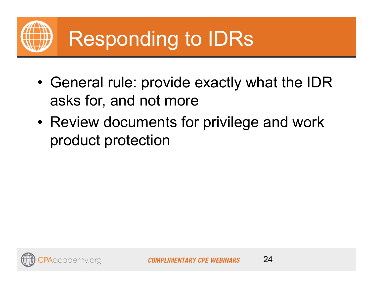

- • General rule: provide exactly what the IDR asks for, and not more
- • Review documents for privilege and work product protection

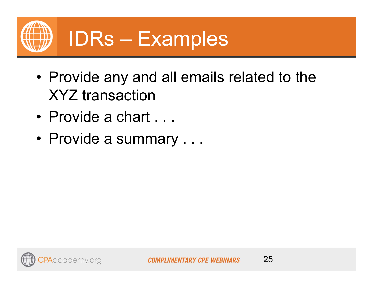

- Provide any and all emails related to the XYZ transaction
- Provide a chart . . .
- Provide a summary . . .



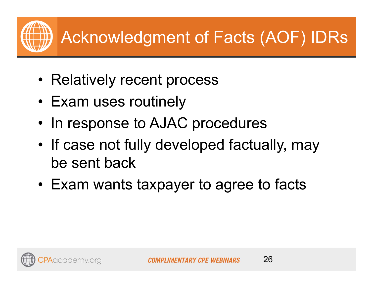- Relatively recent process
- Exam uses routinely
- •In response to AJAC procedures
- • If case not fully developed factually, may be sent back
- •Exam wants taxpayer to agree to facts

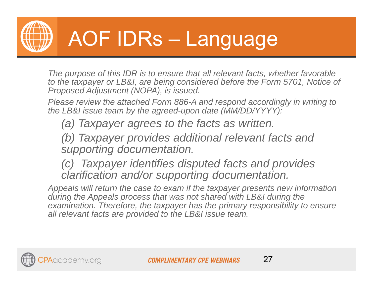

## AOF IDRs – Language

*The purpose of this IDR is to ensure that all relevant facts, whether favorable to the taxpayer or LB&I, are being considered before the Form 5701, Notice of Proposed Adjustment (NOPA), is issued.*

*Please review the attached Form 886-A and respond accordingly in writing to the LB&I issue team by the agreed-upon date (MM/DD/YYYY):*

*(a) Taxpayer agrees to the facts as written.*

*(b) Taxpayer provides additional relevant facts and supporting documentation.*

*(c) Taxpayer identifies disputed facts and provides clarification and/or supporting documentation.*

*Appeals will return the case to exam if the taxpayer presents new information during the Appeals process that was not shared with LB&I during the examination. Therefore, the taxpayer has the primary responsibility to ensure all relevant facts are provided to the LB&I issue team.*

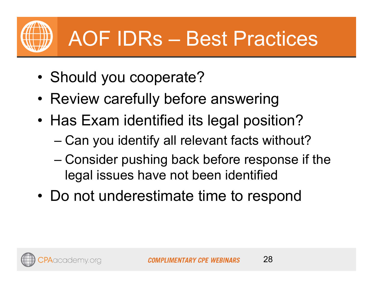

## AOF IDRs – Best Practices

- •Should you cooperate?
- •Review carefully before answering
- • Has Exam identified its legal position?
	- –Can you identify all relevant facts without?
	- – Consider pushing back before response if the legal issues have not been identified
- Do not underestimate time to respond

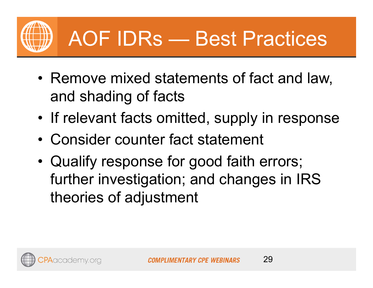

## AOF IDRs — Best Practices

- • Remove mixed statements of fact and law, and shading of facts
- •If relevant facts omitted, supply in response
- •Consider counter fact statement
- • Qualify response for good faith errors; further investigation; and changes in IRS theories of adjustment

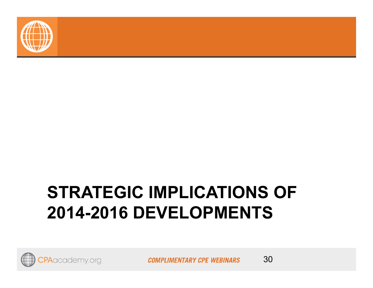

### **STRATEGIC IMPLICATIONS OF 2014-2016 DEVELOPMENTS**



**COMPLIMENTARY CPE WEBINARS**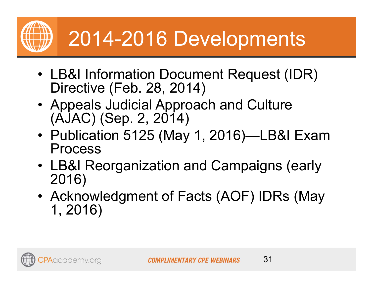

- LB&I Information Document Request (IDR) Directive (Feb. 28, 2014)
- Appeals Judicial Approach and Culture (AJAC) (Sep. 2, 2014)
- Publication 5125 (May 1, 2016)—LB&I Exam Process
- LB&I Reorganization and Campaigns (early 2016)
- Acknowledgment of Facts (AOF) IDRs (May 1, 2016)

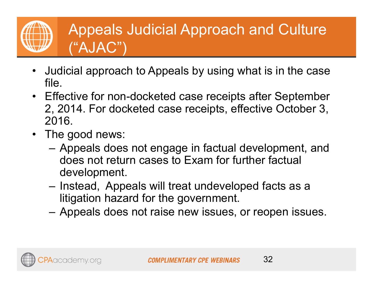#### Appeals Judicial Approach and Culture ("AJAC")

- • Judicial approach to Appeals by using what is in the case file.
- Effective for non-docketed case receipts after September 2, 2014. For docketed case receipts, effective October 3, 2016.
- The good news:
	- Appeals does not engage in factual development, and does not return cases to Exam for further factual development.
	- Instead, Appeals will treat undeveloped facts as a litigation hazard for the government.
	- Appeals does not raise new issues, or reopen issues.

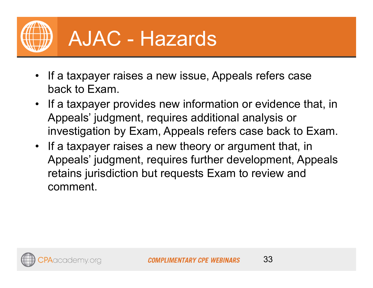

### AJAC - Hazards

- If a taxpayer raises a new issue, Appeals refers case back to Exam.
- If a taxpayer provides new information or evidence that, in Appeals' judgment, requires additional analysis or investigation by Exam, Appeals refers case back to Exam.
- If a taxpayer raises a new theory or argument that, in Appeals' judgment, requires further development, Appeals retains jurisdiction but requests Exam to review and comment.

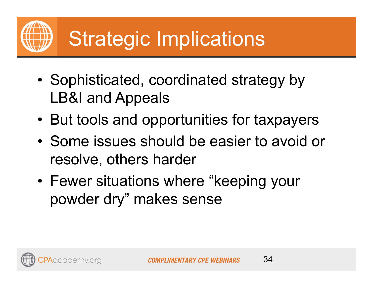- • Sophisticated, coordinated strategy by LB&I and Appeals
- •But tools and opportunities for taxpayers
- • Some issues should be easier to avoid or resolve, others harder
- • Fewer situations where "keeping your powder dry" makes sense

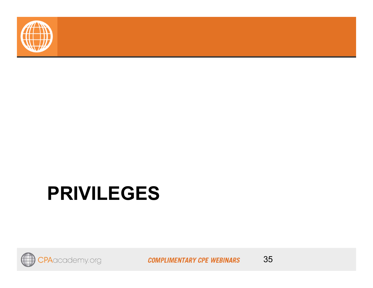

### **PRIVILEGES**



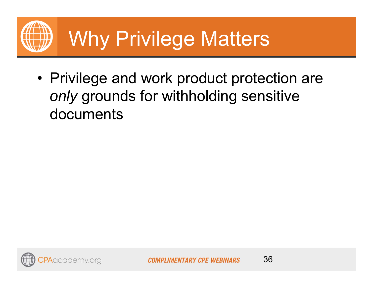

• Privilege and work product protection are *only* grounds for withholding sensitive documents

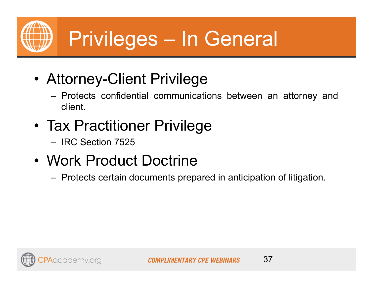

- • Attorney-Client Privilege
	- Protects confidential communications between an attorney and client.
- Tax Practitioner Privilege
	- IRC Section 7525
- Work Product Doctrine
	- –Protects certain documents prepared in anticipation of litigation.

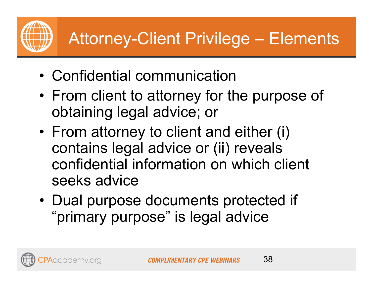### Attorney-Client Privilege – Elements

- •Confidential communication
- • From client to attorney for the purpose of obtaining legal advice; or
- • From attorney to client and either (i) contains legal advice or (ii) reveals confidential information on which client seeks advice
- • Dual purpose documents protected if "primary purpose" is legal advice

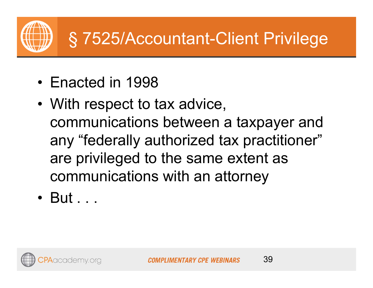

- Enacted in 1998
- With respect to tax advice, communications between a taxpayer and any "federally authorized tax practitioner" are privileged to the same extent as communications with an attorney
- But . . .

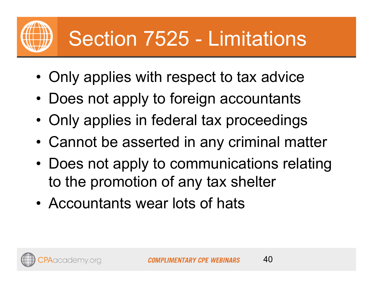## Section 7525 - Limitations

- •Only applies with respect to tax advice
- •Does not apply to foreign accountants
- •Only applies in federal tax proceedings
- •Cannot be asserted in any criminal matter
- Does not apply to communications relating to the promotion of any tax shelter
- •Accountants wear lots of hats

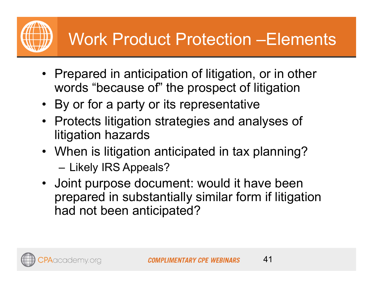### Work Product Protection –Elements

- Prepared in anticipation of litigation, or in other words "because of" the prospect of litigation
- By or for a party or its representative
- Protects litigation strategies and analyses of litigation hazards
- When is litigation anticipated in tax planning? Likely IRS Appeals?
- Joint purpose document: would it have been prepared in substantially similar form if litigation had not been anticipated?

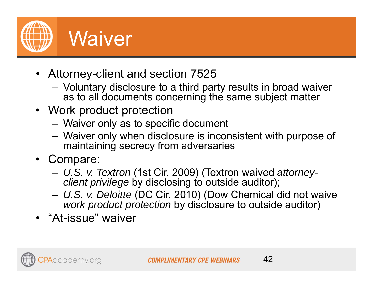

- Attorney-client and section 7525
	- Voluntary disclosure to a third party results in broad waiver as to all documents concerning the same subject matter
- Work product protection
	- Waiver only as to specific document
	- Waiver only when disclosure is inconsistent with purpose of maintaining secrecy from adversaries
- Compare:
	- *U.S. v. Textron* (1st Cir. 2009) (Textron waived *attorneyclient privilege* by disclosing to outside auditor);
	- – *U.S. v. Deloitte* (DC Cir. 2010) (Dow Chemical did not waive *work product protection* by disclosure to outside auditor)
- "At-issue" waiver

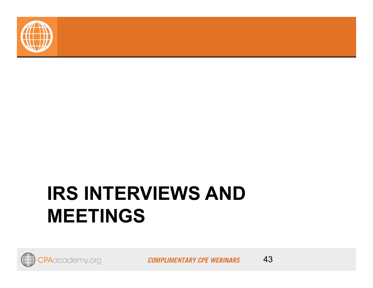

### **IRS INTERVIEWS AND MEETINGS**



**COMPLIMENTARY CPE WEBINARS**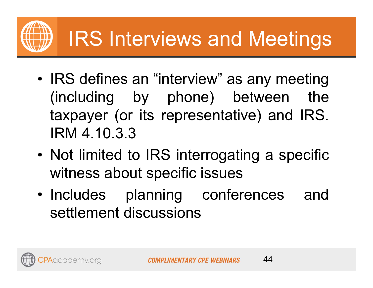# IRS Interviews and Meetings

- • IRS defines an "interview" as any meeting (including by phone) between the taxpayer (or its representative) and IRS. IRM 4.10.3.3
- • Not limited to IRS interrogating <sup>a</sup> specific witness about specific issues
- • Includes planning conferences and settlement discussions

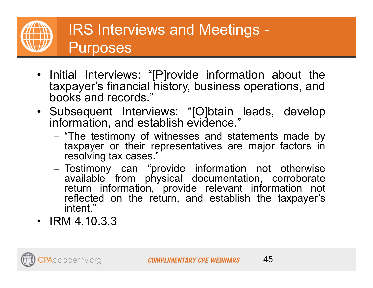

- Initial Interviews: "[P]rovide information about the taxpayer's financial history, business operations, and books and records."
- Subsequent Interviews: "[O]btain leads, develop information, and establish evidence."
	- "The testimony of witnesses and statements made by taxpayer or their representatives are major factors in resolving tax cases."
	- Testimony can "provide information not otherwise available from physical documentation, corroborate return information, provide relevant information not reflected on the return, and establish the taxpayer's intent."
- IRM 4.10.3.3

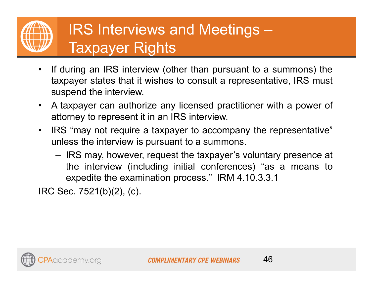### IRS Interviews and Meetings – Taxpayer Rights

- • If during an IRS interview (other than pursuant to <sup>a</sup> summons) the taxpayer states that it wishes to consult <sup>a</sup> representative, IRS must suspend the interview.
- • A taxpayer can authorize any licensed practitioner with <sup>a</sup> power of attorney to represent it in an IRS interview.
- $\bullet$  IRS "may not require <sup>a</sup> taxpayer to accompany the representative" unless the interview is pursuant to <sup>a</sup> summons.
	- IRS may, however, request the taxpayer's voluntary presence at the interview (including initial conferences) "as <sup>a</sup> means to expedite the examination process." IRM 4.10.3.3.1

IRC Sec. 7521(b)(2), (c).

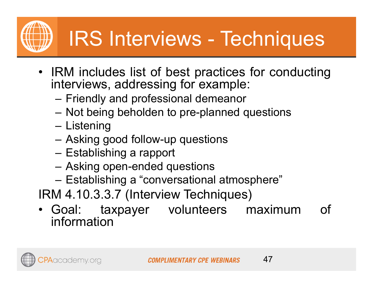## IRS Interviews - Techniques

- IRM includes list of best practices for conducting interviews, addressing for example:
	- Friendly and professional demeanor
	- –Not being beholden to pre-planned questions
	- Listening
	- –Asking good follow-up questions
	- Establishing <sup>a</sup> rapport
	- Asking open-ended questions
	- –Establishing <sup>a</sup> "conversational atmosphere"
- IRM 4.10.3.3.7 (Interview Techniques)
- Goal: taxpayer volunteers maximum of information

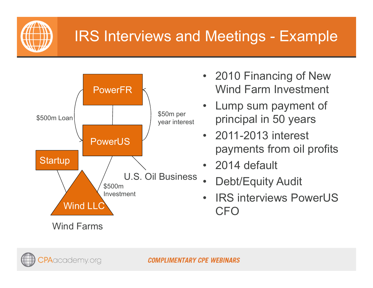

#### IRS Interviews and Meetings - Example



- 2010 Financing of New Wind Farm Investment
- Lump sum payment of principal in 50 years
- 2011-2013 interest payments from oil profits
- 2014 default
- •Debt/Equity Audit
- • IRS interviews PowerUS CFO



**COMPLIMENTARY CPE WEBINARS**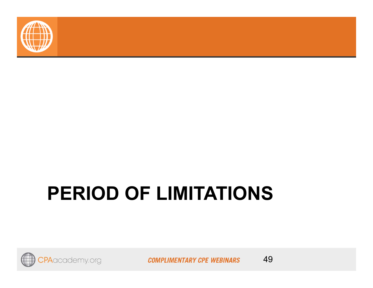

## **PERIOD OF LIMITATIONS**



**COMPLIMENTARY CPE WEBINARS** 

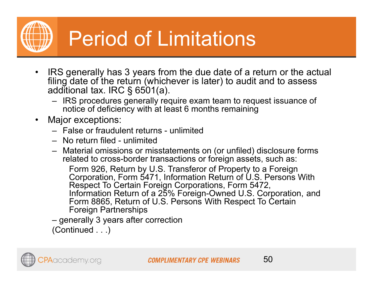Period of Limitations

- • IRS generally has 3 years from the due date of a return or the actual filing date of the return (whichever is later) to audit and to assess additional tax. IRC § 6501(a).
	- IRS procedures generally require exam team to request issuance of notice of deficiency with at least 6 months remaining
- • Major exceptions:
	- False or fraudulent returns unlimited
	- No return filed unlimited
	- Material omissions or misstatements on (or unfiled) disclosure forms related to cross-border transactions or foreign assets, such as:

Form 926, Return by U.S. Transferor of Property to a Foreign Corporation, Form 5471, Information Return of U.S. Persons With Respect To Certain Foreign Corporations, Form 5472, Information Return of a 25% Foreign-Owned U.S. Corporation, and Form 8865, Return of U.S. Persons With Respect To Certain Foreign Partnerships

– generally 3 years after correction (Continued . . .)

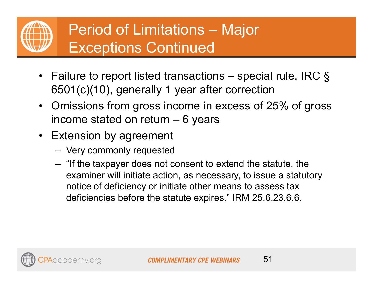

#### Period of Limitations – Major Exceptions Continued

- Failure to report listed transactions special rule, IRC § 6501(c)(10), generally 1 year after correction
- Omissions from gross income in excess of 25% of gross income stated on return – 6 years
- Extension by agreement
	- –Very commonly requested
	- – "If the taxpayer does not consent to extend the statute, the examiner will initiate action, as necessary, to issue a statutory notice of deficiency or initiate other means to assess tax deficiencies before the statute expires." IRM 25.6.23.6.6.

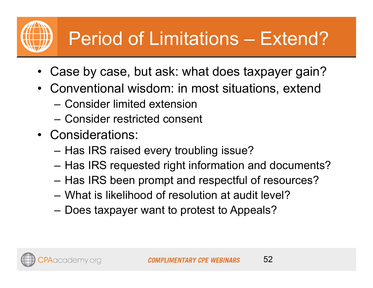### Period of Limitations – Extend?

- •Case by case, but ask: what does taxpayer gain?
- • Conventional wisdom: in most situations, extend
	- Consider limited extension
	- Consider restricted consent
- Considerations:
	- Has IRS raised every troubling issue?
	- Has IRS requested right information and documents?
	- Has IRS been prompt and respectful of resources?
	- What is likelihood of resolution at audit level?
	- Does taxpayer want to protest to Appeals?

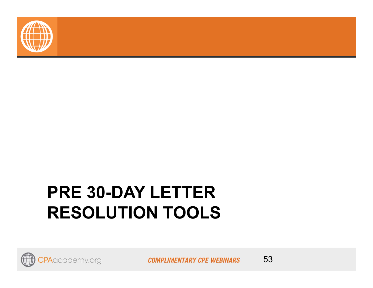

### **PRE 30-DAY LETTER RESOLUTION TOOLS**



**COMPLIMENTARY CPE WEBINARS** 

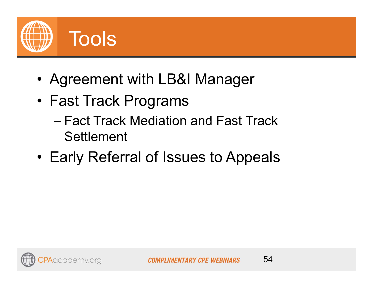

- •Agreement with LB&I Manager
- Fast Track Programs
	- Fact Track Mediation and Fast Track **Settlement**
- •Early Referral of Issues to Appeals



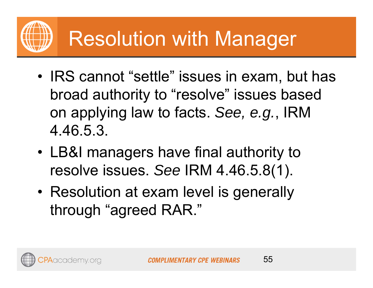- • IRS cannot "settle" issues in exam, but has broad authority to "resolve" issues based on applying law to facts. *See, e.g.*, IRM 4.46.5.3.
- • LB&I managers have final authority to resolve issues. *See* IRM 4.46.5.8(1).
- Resolution at exam level is generally through "agreed RAR."

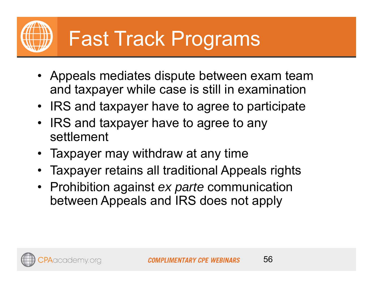- Appeals mediates dispute between exam team and taxpayer while case is still in examination
- IRS and taxpayer have to agree to participate
- IRS and taxpayer have to agree to any settlement
- •Taxpayer may withdraw at any time
- •Taxpayer retains all traditional Appeals rights
- Prohibition against *ex parte* communication between Appeals and IRS does not apply

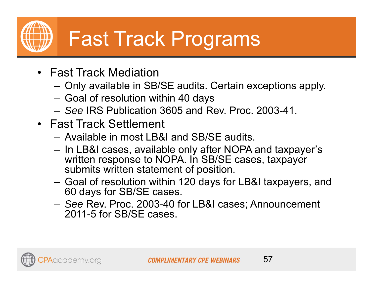## Fast Track Programs

- Fast Track Mediation
	- –Only available in SB/SE audits. Certain exceptions apply.
	- Goal of resolution within 40 days
	- *See* IRS Publication 3605 and Rev. Proc. 2003-41.
- Fast Track Settlement
	- Available in most LB&I and SB/SE audits.
	- In LB&I cases, available only after NOPA and taxpayer's written response to NOPA. In SB/SE cases, taxpayer submits written statement of position.
	- Goal of resolution within 120 days for LB&I taxpayers, and 60 days for SB/SE cases.
	- *See* Rev. Proc. 2003-40 for LB&I cases; Announcement 2011-5 for SB/SE cases.

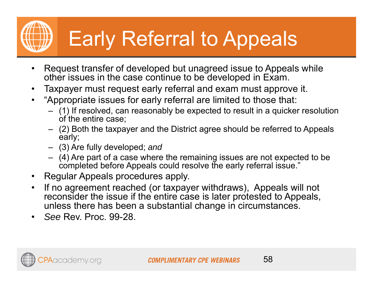# Early Referral to Appeals

- $\bullet$  Request transfer of developed but unagreed issue to Appeals while other issues in the case continue to be developed in Exam.
- $\bullet$ Taxpayer must request early referral and exam must approve it.
- • "Appropriate issues for early referral are limited to those that:
	- (1) If resolved, can reasonably be expected to result in a quicker resolution of the entire case;
	- (2) Both the taxpayer and the District agree should be referred to Appeals early;
	- (3) Are fully developed; *and*
	- (4) Are part of a case where the remaining issues are not expected to be completed before Appeals could resolve the early referral issue."
- $\bullet$ Regular Appeals procedures apply.
- $\bullet$  If no agreement reached (or taxpayer withdraws), Appeals will not reconsider the issue if the entire case is later protested to Appeals, unless there has been a substantial change in circumstances.
- •*See* Rev. Proc. 99-28.

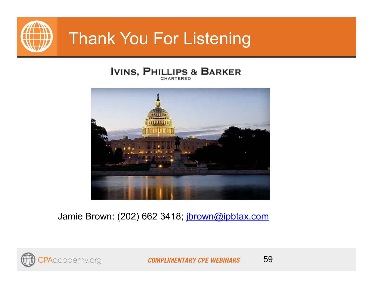

#### Thank You For Listening

#### **IVINS, PHILLIPS & BARKER**



Jamie Brown: (202) 662 3418; jbrown@ipbtax.com